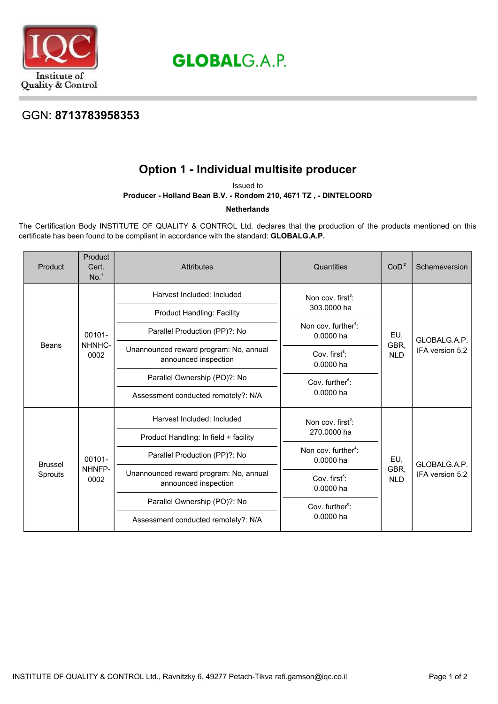

# **GLOBALG.A.P.**

### GGN: **8713783958353**

## **Option 1 - Individual multisite producer**

Issued to

#### **Producer - Holland Bean B.V. - Rondom 210, 4671 TZ , - DINTELOORD**

**Netherlands**

The Certification Body INSTITUTE OF QUALITY & CONTROL Ltd. declares that the production of the products mentioned on this certificate has been found to be compliant in accordance with the standard: **GLOBALG.A.P.**

| Product                   | Product<br>Cert.<br>No. <sup>1</sup> | <b>Attributes</b>                                              | Quantities                                   | CoD <sup>2</sup>                                                                                                               | Schemeversion                   |
|---------------------------|--------------------------------------|----------------------------------------------------------------|----------------------------------------------|--------------------------------------------------------------------------------------------------------------------------------|---------------------------------|
| Beans                     | 00101-<br>NHNHC-<br>0002             | Harvest Included: Included                                     | Non cov. $first^3$ :<br>303,0000 ha          | EU,<br>GBR,<br><b>NLD</b>                                                                                                      | GLOBALG.A.P.<br>IFA version 5.2 |
|                           |                                      | <b>Product Handling: Facility</b>                              |                                              |                                                                                                                                |                                 |
|                           |                                      | Parallel Production (PP)?: No                                  | Non cov. further <sup>4</sup> :<br>0.0000 ha |                                                                                                                                |                                 |
|                           |                                      | Unannounced reward program: No, annual<br>announced inspection | Cov. first <sup>5</sup> :<br>0.0000 ha       |                                                                                                                                |                                 |
|                           |                                      | Parallel Ownership (PO)?: No                                   | Cov. further <sup>6</sup> :<br>$0.0000$ ha   |                                                                                                                                |                                 |
|                           |                                      | Assessment conducted remotely?: N/A                            |                                              |                                                                                                                                |                                 |
| <b>Brussel</b><br>Sprouts | 00101-<br>NHNFP-<br>0002             | Harvest Included: Included                                     | Non cov. first <sup>3</sup> :<br>270.0000 ha | EU,<br>0.0000 ha<br>GBR,<br>Cov. first <sup>5</sup> :<br><b>NLD</b><br>0.0000 ha<br>Cov. further <sup>6</sup> :<br>$0.0000$ ha | GLOBALG.A.P.<br>IFA version 5.2 |
|                           |                                      | Product Handling: In field + facility                          |                                              |                                                                                                                                |                                 |
|                           |                                      | Parallel Production (PP)?: No                                  | Non cov. further <sup>4</sup> :              |                                                                                                                                |                                 |
|                           |                                      | Unannounced reward program: No, annual<br>announced inspection |                                              |                                                                                                                                |                                 |
|                           |                                      | Parallel Ownership (PO)?: No                                   |                                              |                                                                                                                                |                                 |
|                           |                                      | Assessment conducted remotely?: N/A                            |                                              |                                                                                                                                |                                 |